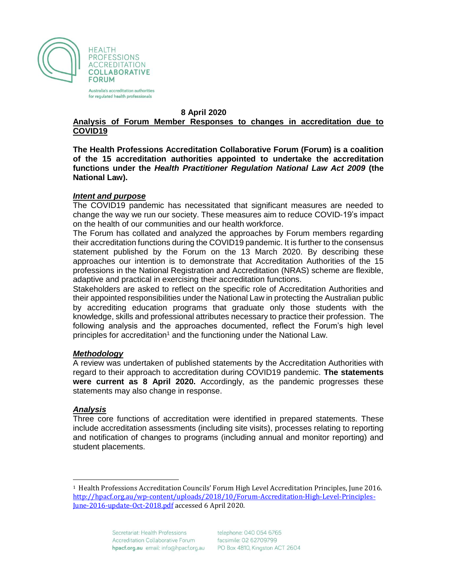

Australia's accreditation authorities for regulated health professionals

#### **8 April 2020**

### **Analysis of Forum Member Responses to changes in accreditation due to COVID19**

**The Health Professions Accreditation Collaborative Forum (Forum) is a coalition of the 15 accreditation authorities appointed to undertake the accreditation functions under the** *Health Practitioner Regulation National Law Act 2009* **(the National Law).** 

### *Intent and purpose*

The COVID19 pandemic has necessitated that significant measures are needed to change the way we run our society. These measures aim to reduce COVID-19's impact on the health of our communities and our health workforce.

The Forum has collated and analyzed the approaches by Forum members regarding their accreditation functions during the COVID19 pandemic. It is further to the consensus statement published by the Forum on the 13 March 2020. By describing these approaches our intention is to demonstrate that Accreditation Authorities of the 15 professions in the National Registration and Accreditation (NRAS) scheme are flexible, adaptive and practical in exercising their accreditation functions.

Stakeholders are asked to reflect on the specific role of Accreditation Authorities and their appointed responsibilities under the National Law in protecting the Australian public by accrediting education programs that graduate only those students with the knowledge, skills and professional attributes necessary to practice their profession. The following analysis and the approaches documented, reflect the Forum's high level principles for accreditation<sup>1</sup> and the functioning under the National Law.

### *Methodology*

A review was undertaken of published statements by the Accreditation Authorities with regard to their approach to accreditation during COVID19 pandemic. **The statements were current as 8 April 2020.** Accordingly, as the pandemic progresses these statements may also change in response.

### *Analysis*

 $\overline{\phantom{a}}$ 

Three core functions of accreditation were identified in prepared statements. These include accreditation assessments (including site visits), processes relating to reporting and notification of changes to programs (including annual and monitor reporting) and student placements.

<sup>1</sup> Health Professions Accreditation Councils' Forum High Level Accreditation Principles, June 2016. [http://hpacf.org.au/wp-content/uploads/2018/10/Forum-Accreditation-High-Level-Principles-](http://hpacf.org.au/wp-content/uploads/2018/10/Forum-Accreditation-High-Level-Principles-June-2016-update-Oct-2018.pdf)[June-2016-update-Oct-2018.pdf](http://hpacf.org.au/wp-content/uploads/2018/10/Forum-Accreditation-High-Level-Principles-June-2016-update-Oct-2018.pdf) accessed 6 April 2020.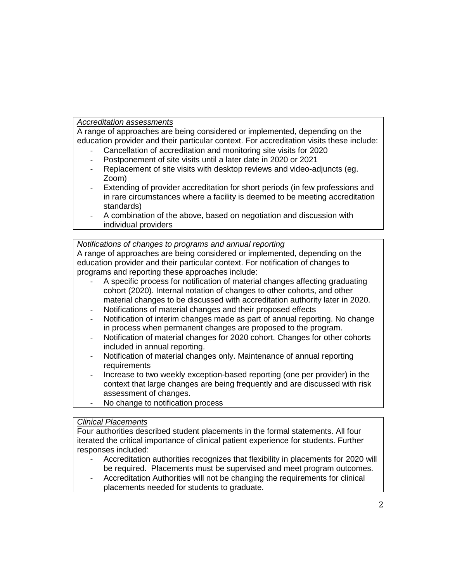## *Accreditation assessments*

A range of approaches are being considered or implemented, depending on the education provider and their particular context. For accreditation visits these include:

- Cancellation of accreditation and monitoring site visits for 2020
- Postponement of site visits until a later date in 2020 or 2021
- Replacement of site visits with desktop reviews and video-adjuncts (eg. Zoom)
- Extending of provider accreditation for short periods (in few professions and in rare circumstances where a facility is deemed to be meeting accreditation standards)
- A combination of the above, based on negotiation and discussion with individual providers

## *Notifications of changes to programs and annual reporting*

A range of approaches are being considered or implemented, depending on the education provider and their particular context. For notification of changes to programs and reporting these approaches include:

- A specific process for notification of material changes affecting graduating cohort (2020). Internal notation of changes to other cohorts, and other material changes to be discussed with accreditation authority later in 2020.
- Notifications of material changes and their proposed effects
- Notification of interim changes made as part of annual reporting. No change in process when permanent changes are proposed to the program.
- Notification of material changes for 2020 cohort. Changes for other cohorts included in annual reporting.
- Notification of material changes only. Maintenance of annual reporting requirements
- Increase to two weekly exception-based reporting (one per provider) in the context that large changes are being frequently and are discussed with risk assessment of changes.
- No change to notification process

## *Clinical Placements*

Four authorities described student placements in the formal statements. All four iterated the critical importance of clinical patient experience for students. Further responses included:

- Accreditation authorities recognizes that flexibility in placements for 2020 will be required. Placements must be supervised and meet program outcomes.
- Accreditation Authorities will not be changing the requirements for clinical placements needed for students to graduate.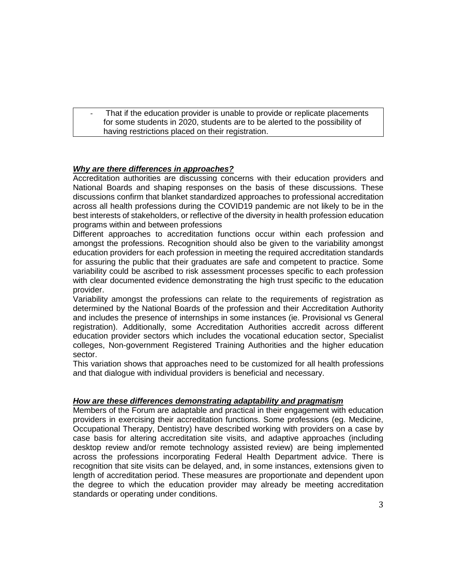That if the education provider is unable to provide or replicate placements for some students in 2020, students are to be alerted to the possibility of having restrictions placed on their registration.

## *Why are there differences in approaches?*

Accreditation authorities are discussing concerns with their education providers and National Boards and shaping responses on the basis of these discussions. These discussions confirm that blanket standardized approaches to professional accreditation across all health professions during the COVID19 pandemic are not likely to be in the best interests of stakeholders, or reflective of the diversity in health profession education programs within and between professions

Different approaches to accreditation functions occur within each profession and amongst the professions. Recognition should also be given to the variability amongst education providers for each profession in meeting the required accreditation standards for assuring the public that their graduates are safe and competent to practice. Some variability could be ascribed to risk assessment processes specific to each profession with clear documented evidence demonstrating the high trust specific to the education provider.

Variability amongst the professions can relate to the requirements of registration as determined by the National Boards of the profession and their Accreditation Authority and includes the presence of internships in some instances (ie. Provisional vs General registration). Additionally, some Accreditation Authorities accredit across different education provider sectors which includes the vocational education sector, Specialist colleges, Non-government Registered Training Authorities and the higher education sector.

This variation shows that approaches need to be customized for all health professions and that dialogue with individual providers is beneficial and necessary.

### *How are these differences demonstrating adaptability and pragmatism*

Members of the Forum are adaptable and practical in their engagement with education providers in exercising their accreditation functions. Some professions (eg. Medicine, Occupational Therapy, Dentistry) have described working with providers on a case by case basis for altering accreditation site visits, and adaptive approaches (including desktop review and/or remote technology assisted review) are being implemented across the professions incorporating Federal Health Department advice. There is recognition that site visits can be delayed, and, in some instances, extensions given to length of accreditation period. These measures are proportionate and dependent upon the degree to which the education provider may already be meeting accreditation standards or operating under conditions.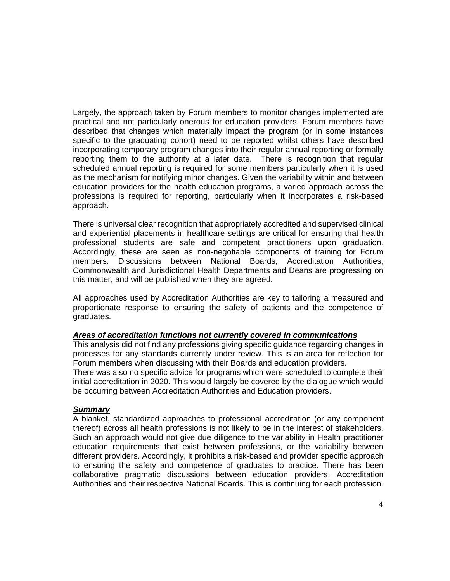Largely, the approach taken by Forum members to monitor changes implemented are practical and not particularly onerous for education providers. Forum members have described that changes which materially impact the program (or in some instances specific to the graduating cohort) need to be reported whilst others have described incorporating temporary program changes into their regular annual reporting or formally reporting them to the authority at a later date. There is recognition that regular scheduled annual reporting is required for some members particularly when it is used as the mechanism for notifying minor changes. Given the variability within and between education providers for the health education programs, a varied approach across the professions is required for reporting, particularly when it incorporates a risk-based approach.

There is universal clear recognition that appropriately accredited and supervised clinical and experiential placements in healthcare settings are critical for ensuring that health professional students are safe and competent practitioners upon graduation. Accordingly, these are seen as non-negotiable components of training for Forum members. Discussions between National Boards, Accreditation Authorities, Commonwealth and Jurisdictional Health Departments and Deans are progressing on this matter, and will be published when they are agreed.

All approaches used by Accreditation Authorities are key to tailoring a measured and proportionate response to ensuring the safety of patients and the competence of graduates.

### *Areas of accreditation functions not currently covered in communications*

This analysis did not find any professions giving specific guidance regarding changes in processes for any standards currently under review. This is an area for reflection for Forum members when discussing with their Boards and education providers.

There was also no specific advice for programs which were scheduled to complete their initial accreditation in 2020. This would largely be covered by the dialogue which would be occurring between Accreditation Authorities and Education providers.

### *Summary*

A blanket, standardized approaches to professional accreditation (or any component thereof) across all health professions is not likely to be in the interest of stakeholders. Such an approach would not give due diligence to the variability in Health practitioner education requirements that exist between professions, or the variability between different providers. Accordingly, it prohibits a risk-based and provider specific approach to ensuring the safety and competence of graduates to practice. There has been collaborative pragmatic discussions between education providers, Accreditation Authorities and their respective National Boards. This is continuing for each profession.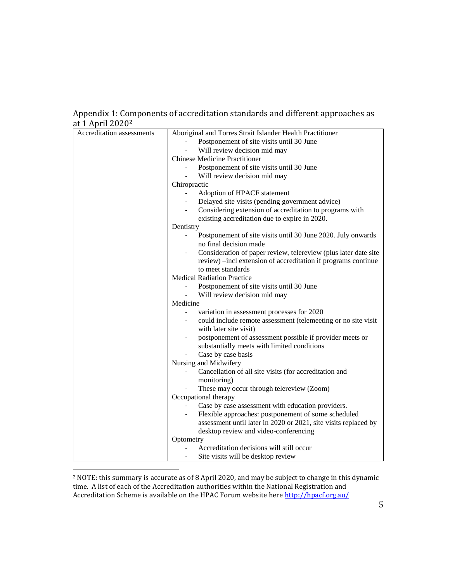# Appendix 1: Components of accreditation standards and different approaches as at 1 April 2020<sup>2</sup>

| $\mu$ + $\mu$ $\mu$ $\mu$ $\mu$ |                                                                                                                                  |
|---------------------------------|----------------------------------------------------------------------------------------------------------------------------------|
| Accreditation assessments       | Aboriginal and Torres Strait Islander Health Practitioner                                                                        |
|                                 | Postponement of site visits until 30 June                                                                                        |
|                                 | Will review decision mid may                                                                                                     |
|                                 | <b>Chinese Medicine Practitioner</b>                                                                                             |
|                                 | Postponement of site visits until 30 June                                                                                        |
|                                 | Will review decision mid may                                                                                                     |
|                                 | Chiropractic                                                                                                                     |
|                                 | Adoption of HPACF statement                                                                                                      |
|                                 | Delayed site visits (pending government advice)                                                                                  |
|                                 | Considering extension of accreditation to programs with                                                                          |
|                                 | existing accreditation due to expire in 2020.                                                                                    |
|                                 | Dentistry                                                                                                                        |
|                                 | Postponement of site visits until 30 June 2020. July onwards<br>no final decision made                                           |
|                                 | Consideration of paper review, telereview (plus later date site<br>review) -incl extension of accreditation if programs continue |
|                                 | to meet standards<br><b>Medical Radiation Practice</b>                                                                           |
|                                 |                                                                                                                                  |
|                                 | Postponement of site visits until 30 June                                                                                        |
|                                 | Will review decision mid may<br>$\blacksquare$                                                                                   |
|                                 | Medicine                                                                                                                         |
|                                 | variation in assessment processes for 2020                                                                                       |
|                                 | could include remote assessment (telemeeting or no site visit<br>with later site visit)                                          |
|                                 | postponement of assessment possible if provider meets or<br>substantially meets with limited conditions                          |
|                                 | Case by case basis                                                                                                               |
|                                 | Nursing and Midwifery                                                                                                            |
|                                 | Cancellation of all site visits (for accreditation and<br>monitoring)                                                            |
|                                 | These may occur through telereview (Zoom)                                                                                        |
|                                 | Occupational therapy                                                                                                             |
|                                 | Case by case assessment with education providers.                                                                                |
|                                 | Flexible approaches: postponement of some scheduled                                                                              |
|                                 | assessment until later in 2020 or 2021, site visits replaced by                                                                  |
|                                 | desktop review and video-conferencing                                                                                            |
|                                 | Optometry                                                                                                                        |
|                                 | Accreditation decisions will still occur                                                                                         |
|                                 | Site visits will be desktop review                                                                                               |
|                                 |                                                                                                                                  |

<sup>2</sup> NOTE: this summary is accurate as of 8 April 2020, and may be subject to change in this dynamic time. A list of each of the Accreditation authorities within the National Registration and Accreditation Scheme is available on the HPAC Forum website here<http://hpacf.org.au/>

 $\overline{\phantom{a}}$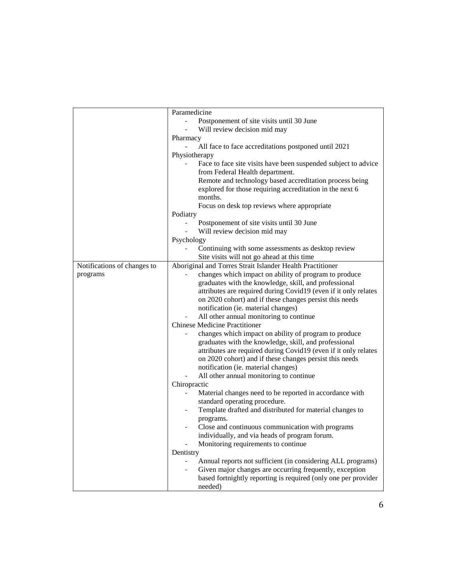|                             | Paramedicine                                                              |
|-----------------------------|---------------------------------------------------------------------------|
|                             | Postponement of site visits until 30 June                                 |
|                             | Will review decision mid may                                              |
|                             | Pharmacy                                                                  |
|                             | All face to face accreditations postponed until 2021                      |
|                             | Physiotherapy                                                             |
|                             | Face to face site visits have been suspended subject to advice            |
|                             | from Federal Health department.                                           |
|                             | Remote and technology based accreditation process being                   |
|                             | explored for those requiring accreditation in the next 6                  |
|                             | months.                                                                   |
|                             | Focus on desk top reviews where appropriate                               |
|                             | Podiatry                                                                  |
|                             | Postponement of site visits until 30 June<br>$\blacksquare$               |
|                             | Will review decision mid may                                              |
|                             | Psychology                                                                |
|                             | Continuing with some assessments as desktop review                        |
|                             | Site visits will not go ahead at this time                                |
| Notifications of changes to | Aboriginal and Torres Strait Islander Health Practitioner                 |
| programs                    | changes which impact on ability of program to produce                     |
|                             | graduates with the knowledge, skill, and professional                     |
|                             | attributes are required during Covid19 (even if it only relates           |
|                             | on 2020 cohort) and if these changes persist this needs                   |
|                             | notification (ie. material changes)                                       |
|                             | All other annual monitoring to continue                                   |
|                             | <b>Chinese Medicine Practitioner</b>                                      |
|                             | changes which impact on ability of program to produce                     |
|                             | graduates with the knowledge, skill, and professional                     |
|                             | attributes are required during Covid19 (even if it only relates           |
|                             | on 2020 cohort) and if these changes persist this needs                   |
|                             | notification (ie. material changes)                                       |
|                             | All other annual monitoring to continue                                   |
|                             | Chiropractic                                                              |
|                             | Material changes need to be reported in accordance with                   |
|                             | standard operating procedure.                                             |
|                             | Template drafted and distributed for material changes to                  |
|                             | programs.                                                                 |
|                             | Close and continuous communication with programs                          |
|                             | individually, and via heads of program forum.                             |
|                             | Monitoring requirements to continue                                       |
|                             | Dentistry                                                                 |
|                             | Annual reports not sufficient (in considering ALL programs)               |
|                             | Given major changes are occurring frequently, exception                   |
|                             |                                                                           |
|                             |                                                                           |
|                             | based fortnightly reporting is required (only one per provider<br>needed) |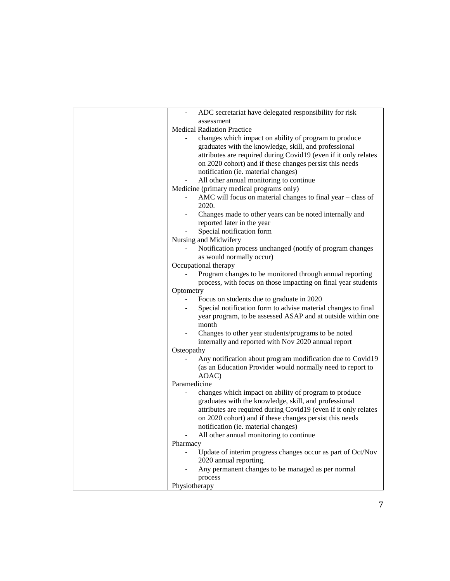| ADC secretariat have delegated responsibility for risk                        |
|-------------------------------------------------------------------------------|
| assessment                                                                    |
| <b>Medical Radiation Practice</b>                                             |
| changes which impact on ability of program to produce                         |
| graduates with the knowledge, skill, and professional                         |
| attributes are required during Covid19 (even if it only relates               |
| on 2020 cohort) and if these changes persist this needs                       |
| notification (ie. material changes)                                           |
| All other annual monitoring to continue                                       |
| Medicine (primary medical programs only)                                      |
| AMC will focus on material changes to final year - class of                   |
| 2020.                                                                         |
| Changes made to other years can be noted internally and                       |
| reported later in the year                                                    |
| Special notification form                                                     |
| Nursing and Midwifery                                                         |
| Notification process unchanged (notify of program changes                     |
| as would normally occur)                                                      |
| Occupational therapy                                                          |
| Program changes to be monitored through annual reporting                      |
| process, with focus on those impacting on final year students                 |
| Optometry                                                                     |
| Focus on students due to graduate in 2020                                     |
| Special notification form to advise material changes to final                 |
| year program, to be assessed ASAP and at outside within one                   |
| month                                                                         |
| Changes to other year students/programs to be noted                           |
| internally and reported with Nov 2020 annual report                           |
| Osteopathy                                                                    |
| Any notification about program modification due to Covid19                    |
| (as an Education Provider would normally need to report to                    |
| AOAC)                                                                         |
| Paramedicine                                                                  |
| changes which impact on ability of program to produce                         |
| graduates with the knowledge, skill, and professional                         |
| attributes are required during Covid19 (even if it only relates               |
| on 2020 cohort) and if these changes persist this needs                       |
| notification (ie. material changes)                                           |
| All other annual monitoring to continue                                       |
| Pharmacy                                                                      |
| Update of interim progress changes occur as part of Oct/Nov<br>$\blacksquare$ |
| 2020 annual reporting.                                                        |
| Any permanent changes to be managed as per normal                             |
| process                                                                       |
| Physiotherapy                                                                 |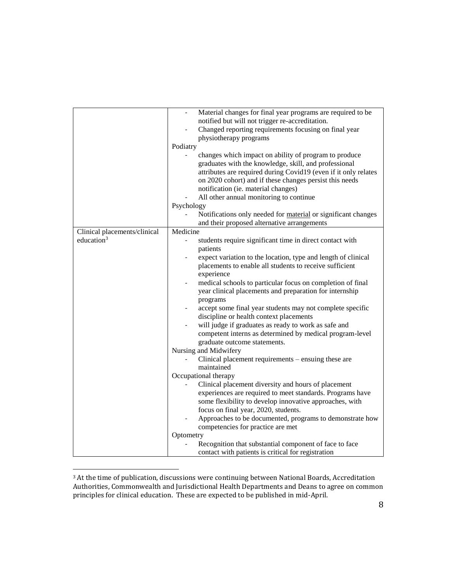|                                               | Material changes for final year programs are required to be<br>notified but will not trigger re-accreditation.<br>Changed reporting requirements focusing on final year<br>physiotherapy programs<br>Podiatry<br>changes which impact on ability of program to produce<br>graduates with the knowledge, skill, and professional<br>attributes are required during Covid19 (even if it only relates<br>on 2020 cohort) and if these changes persist this needs<br>notification (ie. material changes)<br>All other annual monitoring to continue<br>Psychology<br>Notifications only needed for material or significant changes<br>and their proposed alternative arrangements                                                                 |
|-----------------------------------------------|-----------------------------------------------------------------------------------------------------------------------------------------------------------------------------------------------------------------------------------------------------------------------------------------------------------------------------------------------------------------------------------------------------------------------------------------------------------------------------------------------------------------------------------------------------------------------------------------------------------------------------------------------------------------------------------------------------------------------------------------------|
|                                               | Medicine                                                                                                                                                                                                                                                                                                                                                                                                                                                                                                                                                                                                                                                                                                                                      |
| Clinical placements/clinical<br>education $3$ | students require significant time in direct contact with<br>$\blacksquare$<br>patients<br>expect variation to the location, type and length of clinical<br>placements to enable all students to receive sufficient<br>experience<br>medical schools to particular focus on completion of final<br>$\overline{\phantom{0}}$<br>year clinical placements and preparation for internship<br>programs<br>accept some final year students may not complete specific<br>discipline or health context placements<br>will judge if graduates as ready to work as safe and<br>competent interns as determined by medical program-level<br>graduate outcome statements.<br>Nursing and Midwifery<br>Clinical placement requirements – ensuing these are |
|                                               | maintained                                                                                                                                                                                                                                                                                                                                                                                                                                                                                                                                                                                                                                                                                                                                    |
|                                               | Occupational therapy                                                                                                                                                                                                                                                                                                                                                                                                                                                                                                                                                                                                                                                                                                                          |
|                                               | Clinical placement diversity and hours of placement<br>experiences are required to meet standards. Programs have<br>some flexibility to develop innovative approaches, with<br>focus on final year, 2020, students.<br>Approaches to be documented, programs to demonstrate how<br>competencies for practice are met                                                                                                                                                                                                                                                                                                                                                                                                                          |
|                                               | Optometry<br>Recognition that substantial component of face to face                                                                                                                                                                                                                                                                                                                                                                                                                                                                                                                                                                                                                                                                           |
|                                               | contact with patients is critical for registration                                                                                                                                                                                                                                                                                                                                                                                                                                                                                                                                                                                                                                                                                            |

 $3$  At the time of publication, discussions were continuing between National Boards, Accreditation Authorities, Commonwealth and Jurisdictional Health Departments and Deans to agree on common principles for clinical education. These are expected to be published in mid-April.

 $\overline{\phantom{a}}$